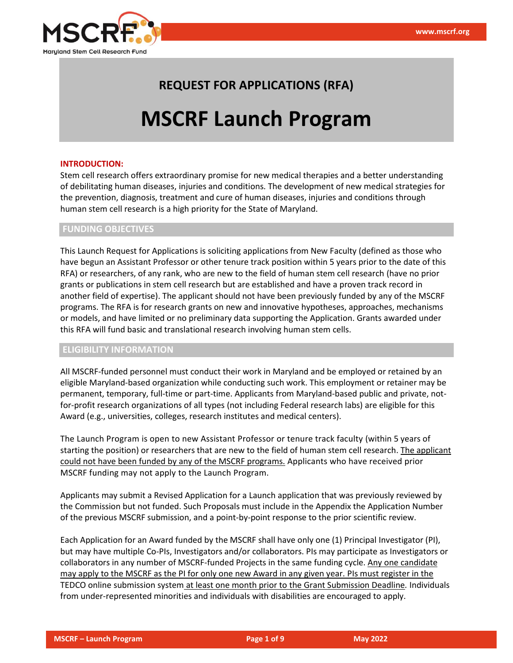

## **REQUEST FOR APPLICATIONS (RFA)**

# **MSCRF Launch Program**

#### **INTRODUCTION:**

Stem cell research offers extraordinary promise for new medical therapies and a better understanding of debilitating human diseases, injuries and conditions. The development of new medical strategies for the prevention, diagnosis, treatment and cure of human diseases, injuries and conditions through human stem cell research is a high priority for the State of Maryland.

## **FUNDING OBJECTIVES**

This Launch Request for Applications is soliciting applications from New Faculty (defined as those who have begun an Assistant Professor or other tenure track position within 5 years prior to the date of this RFA) or researchers, of any rank, who are new to the field of human stem cell research (have no prior grants or publications in stem cell research but are established and have a proven track record in another field of expertise). The applicant should not have been previously funded by any of the MSCRF programs. The RFA is for research grants on new and innovative hypotheses, approaches, mechanisms or models, and have limited or no preliminary data supporting the Application. Grants awarded under this RFA will fund basic and translational research involving human stem cells.

## **ELIGIBILITY INFORMATION**

All MSCRF-funded personnel must conduct their work in Maryland and be employed or retained by an eligible Maryland-based organization while conducting such work. This employment or retainer may be permanent, temporary, full-time or part-time. Applicants from Maryland-based public and private, notfor-profit research organizations of all types (not including Federal research labs) are eligible for this Award (e.g., universities, colleges, research institutes and medical centers).

The Launch Program is open to new Assistant Professor or tenure track faculty (within 5 years of starting the position) or researchers that are new to the field of human stem cell research. The applicant could not have been funded by any of the MSCRF programs. Applicants who have received prior MSCRF funding may not apply to the Launch Program.

Applicants may submit a Revised Application for a Launch application that was previously reviewed by the Commission but not funded. Such Proposals must include in the Appendix the Application Number of the previous MSCRF submission, and a point-by-point response to the prior scientific review.

Each Application for an Award funded by the MSCRF shall have only one (1) Principal Investigator (PI), but may have multiple Co-PIs, Investigators and/or collaborators. PIs may participate as Investigators or collaborators in any number of MSCRF-funded Projects in the same funding cycle. Any one candidate may apply to the MSCRF as the PI for only one new Award in any given year. PIs must register in the TEDCO online submission system at least one month prior to the Grant Submission Deadline*.* Individuals from under-represented minorities and individuals with disabilities are encouraged to apply.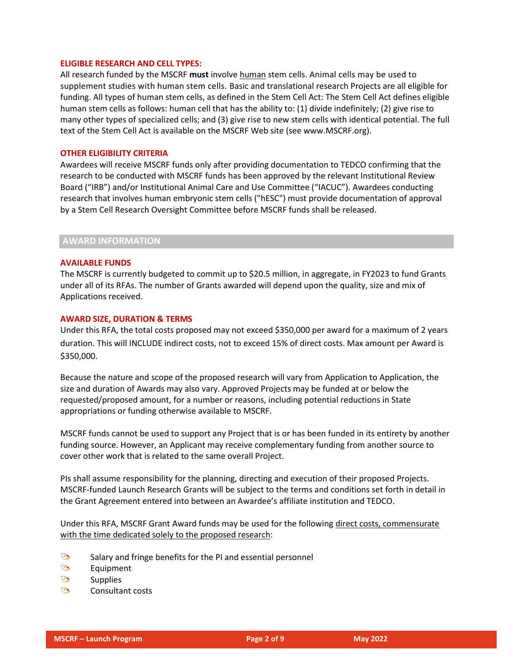#### **ELIGIBLE RESEARCH AND CELL TYPES:**

All research funded by the MSCRF **must** involve human stem cells. Animal cells may be used to supplement studies with human stem cells. Basic and translational research Projects are all eligible for funding. All types of human stem cells, as defined in the Stem Cell Act: The Stem Cell Act defines eligible human stem cells as follows: human cell that has the ability to: (1) divide indefinitely; (2) give rise to many other types of specialized cells; and (3) give rise to new stem cells with identical potential. The full text of the Stem Cell Act is available on the MSCRF Web site (see www.MSCRF.org).

#### **OTHER ELIGIBILITY CRITERIA**

Awardees will receive MSCRF funds only after providing documentation to TEDCO confirming that the research to be conducted with MSCRF funds has been approved by the relevant Institutional Review Board ("IRB") and/or Institutional Animal Care and Use Committee ("IACUC"). Awardees conducting research that involves human embryonic stem cells ("hESC") must provide documentation of approval by a Stem Cell Research Oversight Committee before MSCRF funds shall be released.

#### **AWARD INFORMATION**

#### **AVAILABLE FUNDS**

The MSCRF is currently budgeted to commit up to \$20.5 million, in aggregate, in FY2023 to fund Grants under all of its RFAs. The number of Grants awarded will depend upon the quality, size and mix of Applications received.

#### **AWARD SIZE, DURATION & TERMS**

Under this RFA, the total costs proposed may not exceed \$350,000 per award for a maximum of 2 years duration. This will INCLUDE indirect costs, not to exceed 15% of direct costs. Max amount per Award is \$350,000.

Because the nature and scope of the proposed research will vary from Application to Application, the size and duration of Awards may also vary. Approved Projects may be funded at or below the requested/proposed amount, for a number or reasons, including potential reductions in State appropriations or funding otherwise available to MSCRF.

MSCRF funds cannot be used to support any Project that is or has been funded in its entirety by another funding source. However, an Applicant may receive complementary funding from another source to cover other work that is related to the same overall Project.

PIs shall assume responsibility for the planning, directing and execution of their proposed Projects. MSCRF-funded Launch Research Grants will be subject to the terms and conditions set forth in detail in the Grant Agreement entered into between an Awardee's affiliate institution and TEDCO.

Under this RFA, MSCRF Grant Award funds may be used for the following direct costs, commensurate with the time dedicated solely to the proposed research:

- $\mathbb{C}_{\bullet}$ Salary and fringe benefits for the PI and essential personnel
- $\sum_{i=1}^n$ Equipment
- $\odot$ **Supplies**
- $\mathbb{C}_{\bullet}$ Consultant costs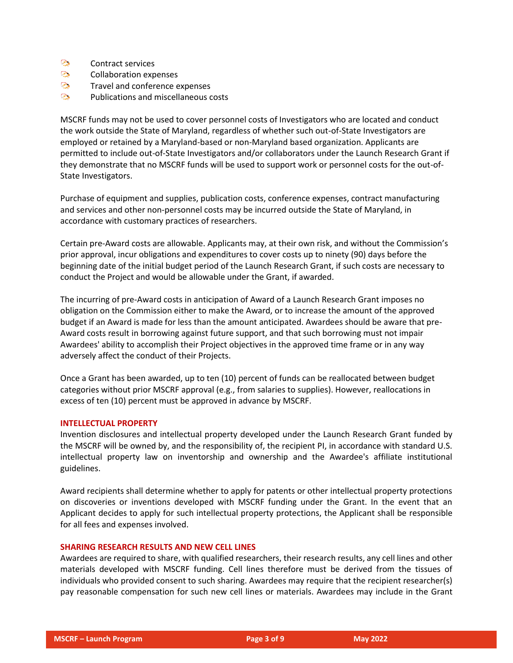- $\odot$ Contract services
- **Contract Contract** Collaboration expenses
- $\odot$ Travel and conference expenses
- $\odot$ Publications and miscellaneous costs

MSCRF funds may not be used to cover personnel costs of Investigators who are located and conduct the work outside the State of Maryland, regardless of whether such out-of-State Investigators are employed or retained by a Maryland-based or non-Maryland based organization. Applicants are permitted to include out-of-State Investigators and/or collaborators under the Launch Research Grant if they demonstrate that no MSCRF funds will be used to support work or personnel costs for the out-of-State Investigators.

Purchase of equipment and supplies, publication costs, conference expenses, contract manufacturing and services and other non-personnel costs may be incurred outside the State of Maryland, in accordance with customary practices of researchers.

Certain pre-Award costs are allowable. Applicants may, at their own risk, and without the Commission's prior approval, incur obligations and expenditures to cover costs up to ninety (90) days before the beginning date of the initial budget period of the Launch Research Grant, if such costs are necessary to conduct the Project and would be allowable under the Grant, if awarded.

The incurring of pre-Award costs in anticipation of Award of a Launch Research Grant imposes no obligation on the Commission either to make the Award, or to increase the amount of the approved budget if an Award is made for less than the amount anticipated. Awardees should be aware that pre-Award costs result in borrowing against future support, and that such borrowing must not impair Awardees' ability to accomplish their Project objectives in the approved time frame or in any way adversely affect the conduct of their Projects.

Once a Grant has been awarded, up to ten (10) percent of funds can be reallocated between budget categories without prior MSCRF approval (e.g., from salaries to supplies). However, reallocations in excess of ten (10) percent must be approved in advance by MSCRF.

### **INTELLECTUAL PROPERTY**

Invention disclosures and intellectual property developed under the Launch Research Grant funded by the MSCRF will be owned by, and the responsibility of, the recipient PI, in accordance with standard U.S. intellectual property law on inventorship and ownership and the Awardee's affiliate institutional guidelines.

Award recipients shall determine whether to apply for patents or other intellectual property protections on discoveries or inventions developed with MSCRF funding under the Grant. In the event that an Applicant decides to apply for such intellectual property protections, the Applicant shall be responsible for all fees and expenses involved.

## **SHARING RESEARCH RESULTS AND NEW CELL LINES**

Awardees are required to share, with qualified researchers, their research results, any cell lines and other materials developed with MSCRF funding. Cell lines therefore must be derived from the tissues of individuals who provided consent to such sharing. Awardees may require that the recipient researcher(s) pay reasonable compensation for such new cell lines or materials. Awardees may include in the Grant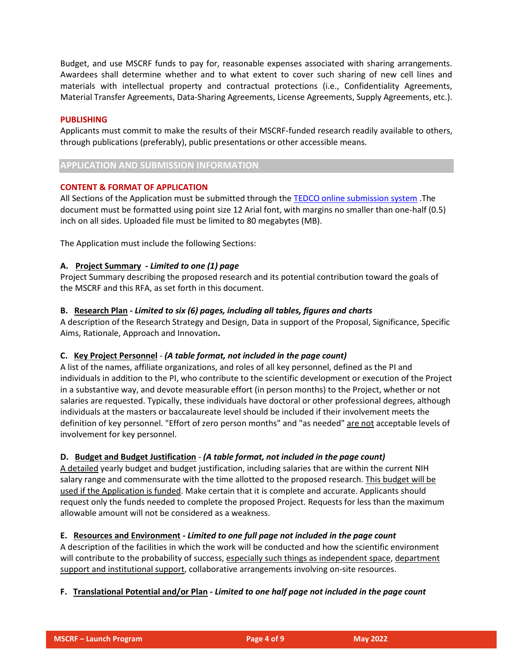Budget, and use MSCRF funds to pay for, reasonable expenses associated with sharing arrangements. Awardees shall determine whether and to what extent to cover such sharing of new cell lines and materials with intellectual property and contractual protections (i.e., Confidentiality Agreements, Material Transfer Agreements, Data-Sharing Agreements, License Agreements, Supply Agreements, etc.).

## **PUBLISHING**

Applicants must commit to make the results of their MSCRF-funded research readily available to others, through publications (preferably), public presentations or other accessible means.

## **APPLICATION AND SUBMISSION INFORMATION**

## **CONTENT & FORMAT OF APPLICATION**

All Sections of the Application must be submitted through th[e TEDCO online submission system](https://jlweb.co/prod1/portal/portal.jsp?c=2222979&p=5503280&g=5597611) .The document must be formatted using point size 12 Arial font, with margins no smaller than one-half (0.5) inch on all sides. Uploaded file must be limited to 80 megabytes (MB).

The Application must include the following Sections:

## **A. Project Summary -** *Limited to one (1) page*

Project Summary describing the proposed research and its potential contribution toward the goals of the MSCRF and this RFA, as set forth in this document.

## **B. Research Plan** *- Limited to six (6) pages, including all tables, figures and charts*

A description of the Research Strategy and Design, Data in support of the Proposal, Significance, Specific Aims, Rationale, Approach and Innovation**.**

## **C. Key Project Personnel** - *(A table format, not included in the page count)*

A list of the names, affiliate organizations, and roles of all key personnel, defined as the PI and individuals in addition to the PI, who contribute to the scientific development or execution of the Project in a substantive way, and devote measurable effort (in person months) to the Project, whether or not salaries are requested. Typically, these individuals have doctoral or other professional degrees, although individuals at the masters or baccalaureate level should be included if their involvement meets the definition of key personnel. "Effort of zero person months" and "as needed" are not acceptable levels of involvement for key personnel.

### **D. Budget and Budget Justification** *- (A table format, not included in the page count)*

A detailed yearly budget and budget justification, including salaries that are within the current NIH salary range and commensurate with the time allotted to the proposed research. This budget will be used if the Application is funded. Make certain that it is complete and accurate. Applicants should request only the funds needed to complete the proposed Project. Requests for less than the maximum allowable amount will not be considered as a weakness.

## **E. Resources and Environment -** *Limited to one full page not included in the page count*

A description of the facilities in which the work will be conducted and how the scientific environment will contribute to the probability of success, especially such things as independent space, department support and institutional support, collaborative arrangements involving on-site resources.

## **F. Translational Potential and/or Plan -** *Limited to one half page not included in the page count*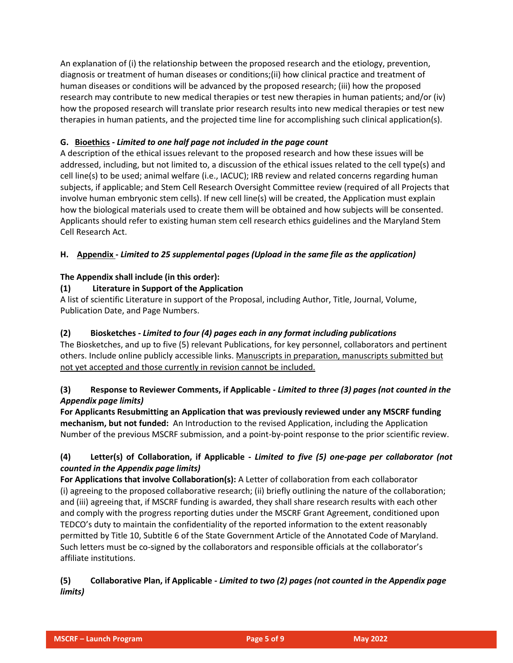An explanation of (i) the relationship between the proposed research and the etiology, prevention, diagnosis or treatment of human diseases or conditions;(ii) how clinical practice and treatment of human diseases or conditions will be advanced by the proposed research; (iii) how the proposed research may contribute to new medical therapies or test new therapies in human patients; and/or (iv) how the proposed research will translate prior research results into new medical therapies or test new therapies in human patients, and the projected time line for accomplishing such clinical application(s).

## **G. Bioethics -** *Limited to one half page not included in the page count*

A description of the ethical issues relevant to the proposed research and how these issues will be addressed, including, but not limited to, a discussion of the ethical issues related to the cell type(s) and cell line(s) to be used; animal welfare (i.e., IACUC); IRB review and related concerns regarding human subjects, if applicable; and Stem Cell Research Oversight Committee review (required of all Projects that involve human embryonic stem cells). If new cell line(s) will be created, the Application must explain how the biological materials used to create them will be obtained and how subjects will be consented. Applicants should refer to existing human stem cell research ethics guidelines and the Maryland Stem Cell Research Act.

## **H. Appendix -** *Limited to 25 supplemental pages (Upload in the same file as the application)*

## **The Appendix shall include (in this order):**

## **(1) Literature in Support of the Application**

A list of scientific Literature in support of the Proposal, including Author, Title, Journal, Volume, Publication Date, and Page Numbers.

## **(2) Biosketches -** *Limited to four (4) pages each in any format including publications*

The Biosketches, and up to five (5) relevant Publications, for key personnel, collaborators and pertinent others. Include online publicly accessible links. Manuscripts in preparation, manuscripts submitted but not yet accepted and those currently in revision cannot be included.

## **(3) Response to Reviewer Comments, if Applicable -** *Limited to three (3) pages (not counted in the Appendix page limits)*

**For Applicants Resubmitting an Application that was previously reviewed under any MSCRF funding mechanism, but not funded:** An Introduction to the revised Application, including the Application Number of the previous MSCRF submission, and a point-by-point response to the prior scientific review.

## **(4) Letter(s) of Collaboration, if Applicable -** *Limited to five (5) one-page per collaborator (not counted in the Appendix page limits)*

**For Applications that involve Collaboration(s):** A Letter of collaboration from each collaborator (i) agreeing to the proposed collaborative research; (ii) briefly outlining the nature of the collaboration; and (iii) agreeing that, if MSCRF funding is awarded, they shall share research results with each other and comply with the progress reporting duties under the MSCRF Grant Agreement, conditioned upon TEDCO's duty to maintain the confidentiality of the reported information to the extent reasonably permitted by Title 10, Subtitle 6 of the State Government Article of the Annotated Code of Maryland. Such letters must be co-signed by the collaborators and responsible officials at the collaborator's affiliate institutions.

## **(5) Collaborative Plan, if Applicable -** *Limited to two (2) pages (not counted in the Appendix page limits)*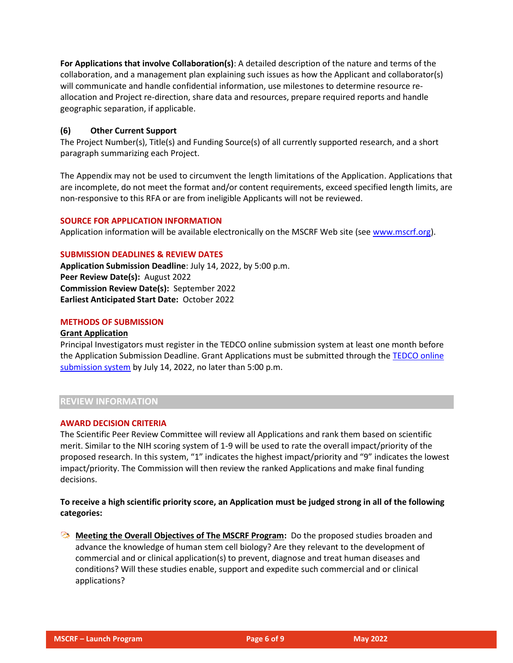**For Applications that involve Collaboration(s)**: A detailed description of the nature and terms of the collaboration, and a management plan explaining such issues as how the Applicant and collaborator(s) will communicate and handle confidential information, use milestones to determine resource reallocation and Project re-direction, share data and resources, prepare required reports and handle geographic separation, if applicable.

## **(6) Other Current Support**

The Project Number(s), Title(s) and Funding Source(s) of all currently supported research, and a short paragraph summarizing each Project.

The Appendix may not be used to circumvent the length limitations of the Application. Applications that are incomplete, do not meet the format and/or content requirements, exceed specified length limits, are non-responsive to this RFA or are from ineligible Applicants will not be reviewed.

### **SOURCE FOR APPLICATION INFORMATION**

Application information will be available electronically on the MSCRF Web site (see [www.mscrf.org\)](http://www.mscrf.org/).

#### **SUBMISSION DEADLINES & REVIEW DATES**

**Application Submission Deadline**: July 14, 2022, by 5:00 p.m. **Peer Review Date(s):** August 2022 **Commission Review Date(s):** September 2022 **Earliest Anticipated Start Date:** October 2022

#### **METHODS OF SUBMISSION**

#### **Grant Application**

Principal Investigators must register in the TEDCO online submission system at least one month before the Application Submission Deadline. Grant Applications must be submitted through the [TEDCO online](https://jlweb.co/prod1/portal/portal.jsp?c=2222979&p=5503280&g=5597611)  [submission system](https://jlweb.co/prod1/portal/portal.jsp?c=2222979&p=5503280&g=5597611) by July 14, 2022, no later than 5:00 p.m.

## **REVIEW INFORMATION**

#### **AWARD DECISION CRITERIA**

The Scientific Peer Review Committee will review all Applications and rank them based on scientific merit. Similar to the NIH scoring system of 1-9 will be used to rate the overall impact/priority of the proposed research. In this system, "1" indicates the highest impact/priority and "9" indicates the lowest impact/priority. The Commission will then review the ranked Applications and make final funding decisions.

## **To receive a high scientific priority score, an Application must be judged strong in all of the following categories:**

**Meeting the Overall Objectives of The MSCRF Program:** Do the proposed studies broaden and advance the knowledge of human stem cell biology? Are they relevant to the development of commercial and or clinical application(s) to prevent, diagnose and treat human diseases and conditions? Will these studies enable, support and expedite such commercial and or clinical applications?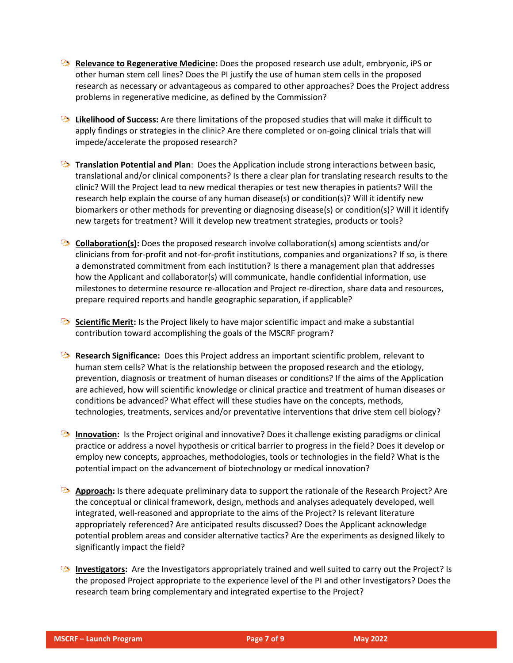- **Relevance to Regenerative Medicine:** Does the proposed research use adult, embryonic, iPS or other human stem cell lines? Does the PI justify the use of human stem cells in the proposed research as necessary or advantageous as compared to other approaches? Does the Project address problems in regenerative medicine, as defined by the Commission?
- **B** Likelihood of Success: Are there limitations of the proposed studies that will make it difficult to apply findings or strategies in the clinic? Are there completed or on-going clinical trials that will impede/accelerate the proposed research?
- **Translation Potential and Plan**: Does the Application include strong interactions between basic, translational and/or clinical components? Is there a clear plan for translating research results to the clinic? Will the Project lead to new medical therapies or test new therapies in patients? Will the research help explain the course of any human disease(s) or condition(s)? Will it identify new biomarkers or other methods for preventing or diagnosing disease(s) or condition(s)? Will it identify new targets for treatment? Will it develop new treatment strategies, products or tools?
- **Collaboration(s):** Does the proposed research involve collaboration(s) among scientists and/or clinicians from for-profit and not-for-profit institutions, companies and organizations? If so, is there a demonstrated commitment from each institution? Is there a management plan that addresses how the Applicant and collaborator(s) will communicate, handle confidential information, use milestones to determine resource re-allocation and Project re-direction, share data and resources, prepare required reports and handle geographic separation, if applicable?
- **Scientific Merit:** Is the Project likely to have major scientific impact and make a substantial contribution toward accomplishing the goals of the MSCRF program?
- **Research Significance:** Does this Project address an important scientific problem, relevant to human stem cells? What is the relationship between the proposed research and the etiology, prevention, diagnosis or treatment of human diseases or conditions? If the aims of the Application are achieved, how will scientific knowledge or clinical practice and treatment of human diseases or conditions be advanced? What effect will these studies have on the concepts, methods, technologies, treatments, services and/or preventative interventions that drive stem cell biology?
- **Innovation:** Is the Project original and innovative? Does it challenge existing paradigms or clinical practice or address a novel hypothesis or critical barrier to progress in the field? Does it develop or employ new concepts, approaches, methodologies, tools or technologies in the field? What is the potential impact on the advancement of biotechnology or medical innovation?
- **Approach:** Is there adequate preliminary data to support the rationale of the Research Project? Are the conceptual or clinical framework, design, methods and analyses adequately developed, well integrated, well-reasoned and appropriate to the aims of the Project? Is relevant literature appropriately referenced? Are anticipated results discussed? Does the Applicant acknowledge potential problem areas and consider alternative tactics? Are the experiments as designed likely to significantly impact the field?
- **Investigators:** Are the Investigators appropriately trained and well suited to carry out the Project? Is the proposed Project appropriate to the experience level of the PI and other Investigators? Does the research team bring complementary and integrated expertise to the Project?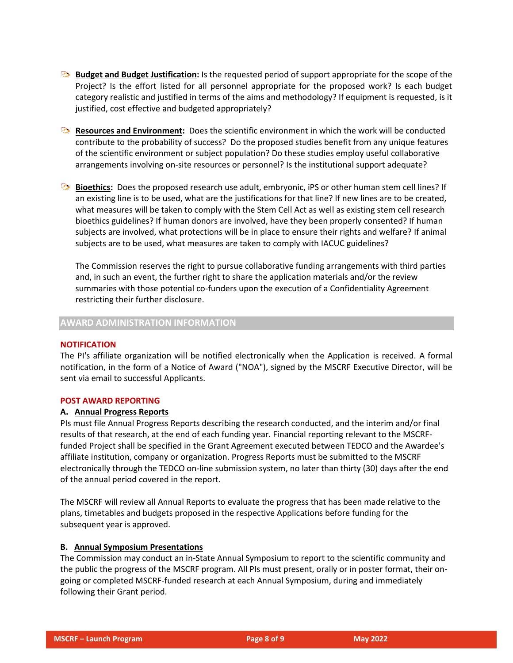- **Budget and Budget Justification:** Is the requested period of support appropriate for the scope of the Project? Is the effort listed for all personnel appropriate for the proposed work? Is each budget category realistic and justified in terms of the aims and methodology? If equipment is requested, is it justified, cost effective and budgeted appropriately?
- **Resources and Environment:** Does the scientific environment in which the work will be conducted contribute to the probability of success? Do the proposed studies benefit from any unique features of the scientific environment or subject population? Do these studies employ useful collaborative arrangements involving on-site resources or personnel? Is the institutional support adequate?
- **Bioethics:** Does the proposed research use adult, embryonic, iPS or other human stem cell lines? If an existing line is to be used, what are the justifications for that line? If new lines are to be created, what measures will be taken to comply with the Stem Cell Act as well as existing stem cell research bioethics guidelines? If human donors are involved, have they been properly consented? If human subjects are involved, what protections will be in place to ensure their rights and welfare? If animal subjects are to be used, what measures are taken to comply with IACUC guidelines?

The Commission reserves the right to pursue collaborative funding arrangements with third parties and, in such an event, the further right to share the application materials and/or the review summaries with those potential co-funders upon the execution of a Confidentiality Agreement restricting their further disclosure.

## **AWARD ADMINISTRATION INFORMATION**

### **NOTIFICATION**

The PI's affiliate organization will be notified electronically when the Application is received. A formal notification, in the form of a Notice of Award ("NOA"), signed by the MSCRF Executive Director, will be sent via email to successful Applicants.

## **POST AWARD REPORTING**

### **A. Annual Progress Reports**

PIs must file Annual Progress Reports describing the research conducted, and the interim and/or final results of that research, at the end of each funding year. Financial reporting relevant to the MSCRFfunded Project shall be specified in the Grant Agreement executed between TEDCO and the Awardee's affiliate institution, company or organization. Progress Reports must be submitted to the MSCRF electronically through the TEDCO on-line submission system, no later than thirty (30) days after the end of the annual period covered in the report.

The MSCRF will review all Annual Reports to evaluate the progress that has been made relative to the plans, timetables and budgets proposed in the respective Applications before funding for the subsequent year is approved.

### **B. Annual Symposium Presentations**

The Commission may conduct an in-State Annual Symposium to report to the scientific community and the public the progress of the MSCRF program. All PIs must present, orally or in poster format, their ongoing or completed MSCRF-funded research at each Annual Symposium, during and immediately following their Grant period.